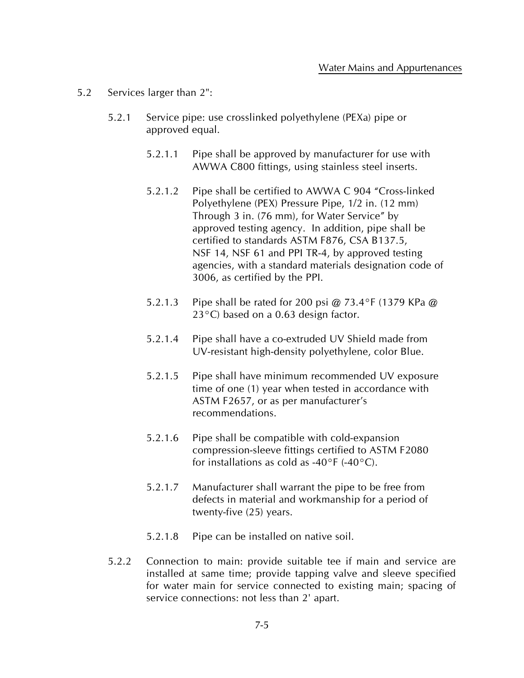- 5.2 Services larger than 2":
	- 5.2.1 Service pipe: use crosslinked polyethylene (PEXa) pipe or approved equal.
		- 5.2.1.1 Pipe shall be approved by manufacturer for use with AWWA C800 fittings, using stainless steel inserts.
		- 5.2.1.2 Pipe shall be certified to AWWA C 904 "Cross-linked Polyethylene (PEX) Pressure Pipe, 1/2 in. (12 mm) Through 3 in. (76 mm), for Water Service" by approved testing agency. In addition, pipe shall be certified to standards ASTM F876, CSA B137.5, NSF 14, NSF 61 and PPI TR-4, by approved testing agencies, with a standard materials designation code of 3006, as certified by the PPI.
		- 5.2.1.3 Pipe shall be rated for 200 psi @ 73.4°F (1379 KPa @ 23°C) based on a 0.63 design factor.
		- 5.2.1.4 Pipe shall have a co-extruded UV Shield made from UV-resistant high-density polyethylene, color Blue.
		- 5.2.1.5 Pipe shall have minimum recommended UV exposure time of one (1) year when tested in accordance with ASTM F2657, or as per manufacturer's recommendations.
		- 5.2.1.6 Pipe shall be compatible with cold-expansion compression-sleeve fittings certified to ASTM F2080 for installations as cold as -40 $\degree$ F (-40 $\degree$ C).
		- 5.2.1.7 Manufacturer shall warrant the pipe to be free from defects in material and workmanship for a period of twenty-five (25) years.
		- 5.2.1.8 Pipe can be installed on native soil.
	- 5.2.2 Connection to main: provide suitable tee if main and service are installed at same time; provide tapping valve and sleeve specified for water main for service connected to existing main; spacing of service connections: not less than 2' apart.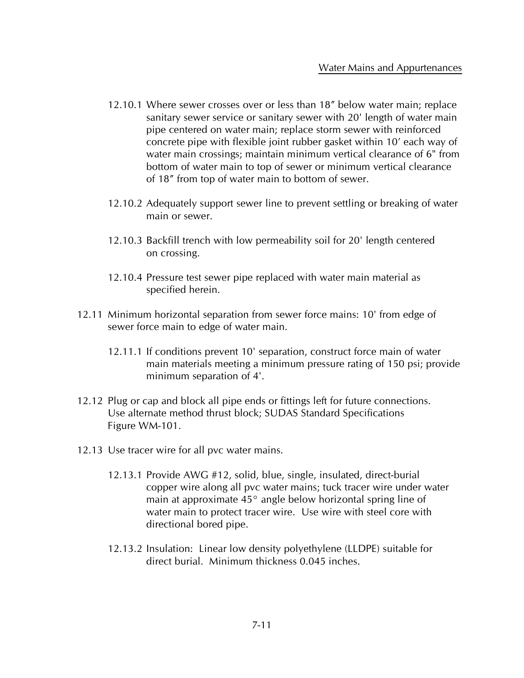- 12.10.1 Where sewer crosses over or less than 18" below water main; replace sanitary sewer service or sanitary sewer with 20' length of water main pipe centered on water main; replace storm sewer with reinforced concrete pipe with flexible joint rubber gasket within 10' each way of water main crossings; maintain minimum vertical clearance of 6" from bottom of water main to top of sewer or minimum vertical clearance of 18" from top of water main to bottom of sewer.
- 12.10.2 Adequately support sewer line to prevent settling or breaking of water main or sewer.
- 12.10.3 Backfill trench with low permeability soil for 20' length centered on crossing.
- 12.10.4 Pressure test sewer pipe replaced with water main material as specified herein.
- 12.11 Minimum horizontal separation from sewer force mains: 10' from edge of sewer force main to edge of water main.
	- 12.11.1 If conditions prevent 10' separation, construct force main of water main materials meeting a minimum pressure rating of 150 psi; provide minimum separation of 4'.
- 12.12 Plug or cap and block all pipe ends or fittings left for future connections. Use alternate method thrust block; SUDAS Standard Specifications Figure WM-101.
- 12.13 Use tracer wire for all pvc water mains.
	- 12.13.1 Provide AWG #12, solid, blue, single, insulated, direct-burial copper wire along all pvc water mains; tuck tracer wire under water main at approximate 45° angle below horizontal spring line of water main to protect tracer wire. Use wire with steel core with directional bored pipe.
	- 12.13.2 Insulation: Linear low density polyethylene (LLDPE) suitable for direct burial. Minimum thickness 0.045 inches.